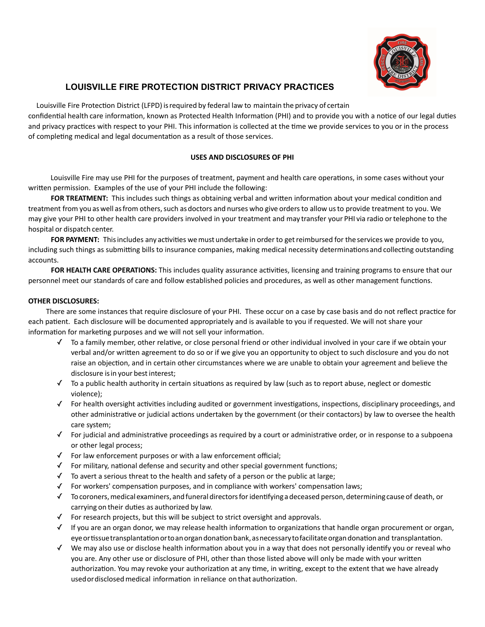

# **LOUISVILLE FIRE PROTECTION DISTRICT PRIVACY PRACTICES**

Louisville Fire Protection District (LFPD) is required by federal law to maintain the privacy of certain confidential health care information, known as Protected Health Information (PHI) and to provide you with a notice of our legal duties and privacy practices with respect to your PHI. This information is collected at the time we provide services to you or in the process of completing medical and legal documentation as a result of those services.

# **USES AND DISCLOSURES OF PHI**

Louisville Fire may use PHI for the purposes of treatment, payment and health care operations, in some cases without your written permission. Examples of the use of your PHI include the following:

**FOR TREATMENT:** This includes such things as obtaining verbal and written information about your medical condition and treatment from you as well as from others, such as doctors and nurses who give orders to allow us to provide treatment to you. We may give your PHI to other health care providers involved in your treatment and may transfer your PHI via radio or telephone to the hospital or dispatch center.

FOR PAYMENT: This includes any activities we must undertake in order to get reimbursed for the services we provide to you, including such things as submitting bills to insurance companies, making medical necessity determinations and collecting outstanding accounts.

FOR HEALTH CARE OPERATIONS: This includes quality assurance activities, licensing and training programs to ensure that our personnel meet our standards of care and follow established policies and procedures, as well as other management functions.

# **OTHER DISCLOSURES:**

There are some instances that require disclosure of your PHI. These occur on a case by case basis and do not reflect practice for each patient. Each disclosure will be documented appropriately and is available to you if requested. We will not share your information for marketing purposes and we will not sell your information.

- $\checkmark$  To a family member, other relative, or close personal friend or other individual involved in your care if we obtain your verbal and/or written agreement to do so or if we give you an opportunity to object to such disclosure and you do not raise an objection, and in certain other circumstances where we are unable to obtain your agreement and believe the disclosure is in your best interest;
- $\checkmark$  To a public health authority in certain situations as required by law (such as to report abuse, neglect or domestic violence);
- √ For health oversight activities including audited or government investigations, inspections, disciplinary proceedings, and other administrative or judicial actions undertaken by the government (or their contactors) by law to oversee the health care system;
- $\checkmark$  For judicial and administrative proceedings as required by a court or administrative order, or in response to a subpoena or other legal process;
- $\checkmark$  For law enforcement purposes or with a law enforcement official;
- $\checkmark$  For military, national defense and security and other special government functions;
- $\checkmark$  To avert a serious threat to the health and safety of a person or the public at large;
- $\checkmark$  For workers' compensation purposes, and in compliance with workers' compensation laws;
- ✓ Tocoroners,medical examiners, andfuneral directorsforidentifyinga deceased person, determiningcauseof death, or carrying on their duties as authorized by law.
- $\checkmark$  For research projects, but this will be subject to strict oversight and approvals.
- $\checkmark$  If you are an organ donor, we may release health information to organizations that handle organ procurement or organ, eye or tissue transplantation or to an organ donation bank, as necessary to facilitate organ donation and transplantation.
- √ We may also use or disclose health information about you in a way that does not personally identify you or reveal who you are. Any other use or disclosure of PHI, other than those listed above will only be made with your written authorization. You may revoke your authorization at any time, in writing, except to the extent that we have already used or disclosed medical information in reliance on that authorization.